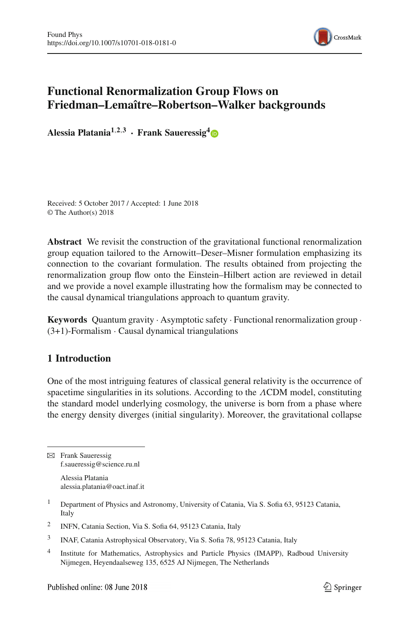

# **Functional Renormalization Group Flows on Friedman–Lemaître–Robertson–Walker backgrounds**

**Alessia Platania1**,**2**,**<sup>3</sup> · Frank Saueressig[4](http://orcid.org/0000-0002-2492-8271)**

Received: 5 October 2017 / Accepted: 1 June 2018 © The Author(s) 2018

**Abstract** We revisit the construction of the gravitational functional renormalization group equation tailored to the Arnowitt–Deser–Misner formulation emphasizing its connection to the covariant formulation. The results obtained from projecting the renormalization group flow onto the Einstein–Hilbert action are reviewed in detail and we provide a novel example illustrating how the formalism may be connected to the causal dynamical triangulations approach to quantum gravity.

**Keywords** Quantum gravity · Asymptotic safety · Functional renormalization group ·  $(3+1)$ -Formalism  $\cdot$  Causal dynamical triangulations

# **1 Introduction**

One of the most intriguing features of classical general relativity is the occurrence of spacetime singularities in its solutions. According to the ΛCDM model, constituting the standard model underlying cosmology, the universe is born from a phase where the energy density diverges (initial singularity). Moreover, the gravitational collapse

 $\boxtimes$  Frank Saueressig f.saueressig@science.ru.nl

> Alessia Platania alessia.platania@oact.inaf.it

- <sup>1</sup> Department of Physics and Astronomy, University of Catania, Via S. Sofia 63, 95123 Catania, Italy
- <sup>2</sup> INFN, Catania Section, Via S. Sofia 64, 95123 Catania, Italy
- <sup>3</sup> INAF, Catania Astrophysical Observatory, Via S. Sofia 78, 95123 Catania, Italy
- <sup>4</sup> Institute for Mathematics, Astrophysics and Particle Physics (IMAPP), Radboud University Nijmegen, Heyendaalseweg 135, 6525 AJ Nijmegen, The Netherlands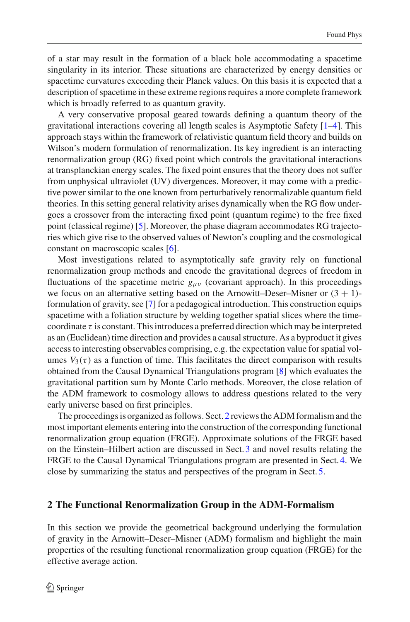of a star may result in the formation of a black hole accommodating a spacetime singularity in its interior. These situations are characterized by energy densities or spacetime curvatures exceeding their Planck values. On this basis it is expected that a description of spacetime in these extreme regions requires a more complete framework which is broadly referred to as quantum gravity.

A very conservative proposal geared towards defining a quantum theory of the gravitational interactions covering all length scales is Asymptotic Safety [\[1](#page-12-0)[–4\]](#page-12-1). This approach stays within the framework of relativistic quantum field theory and builds on Wilson's modern formulation of renormalization. Its key ingredient is an interacting renormalization group (RG) fixed point which controls the gravitational interactions at transplanckian energy scales. The fixed point ensures that the theory does not suffer from unphysical ultraviolet (UV) divergences. Moreover, it may come with a predictive power similar to the one known from perturbatively renormalizable quantum field theories. In this setting general relativity arises dynamically when the RG flow undergoes a crossover from the interacting fixed point (quantum regime) to the free fixed point (classical regime) [\[5](#page-12-2)]. Moreover, the phase diagram accommodates RG trajectories which give rise to the observed values of Newton's coupling and the cosmological constant on macroscopic scales [\[6](#page-12-3)].

Most investigations related to asymptotically safe gravity rely on functional renormalization group methods and encode the gravitational degrees of freedom in fluctuations of the spacetime metric  $g_{\mu\nu}$  (covariant approach). In this proceedings we focus on an alternative setting based on the Arnowitt–Deser–Misner or  $(3 + 1)$ formulation of gravity, see [\[7](#page-12-4)] for a pedagogical introduction. This construction equips spacetime with a foliation structure by welding together spatial slices where the timecoordinate  $\tau$  is constant. This introduces a preferred direction which may be interpreted as an (Euclidean) time direction and provides a causal structure. As a byproduct it gives access to interesting observables comprising, e.g. the expectation value for spatial volumes  $V_3(\tau)$  as a function of time. This facilitates the direct comparison with results obtained from the Causal Dynamical Triangulations program [\[8](#page-12-5)] which evaluates the gravitational partition sum by Monte Carlo methods. Moreover, the close relation of the ADM framework to cosmology allows to address questions related to the very early universe based on first principles.

The proceedings is organized as follows. Sect. [2](#page-1-0) reviews the ADM formalism and the most important elements entering into the construction of the corresponding functional renormalization group equation (FRGE). Approximate solutions of the FRGE based on the Einstein–Hilbert action are discussed in Sect. [3](#page-5-0) and novel results relating the FRGE to the Causal Dynamical Triangulations program are presented in Sect. [4.](#page-9-0) We close by summarizing the status and perspectives of the program in Sect. [5.](#page-11-0)

### <span id="page-1-0"></span>**2 The Functional Renormalization Group in the ADM-Formalism**

In this section we provide the geometrical background underlying the formulation of gravity in the Arnowitt–Deser–Misner (ADM) formalism and highlight the main properties of the resulting functional renormalization group equation (FRGE) for the effective average action.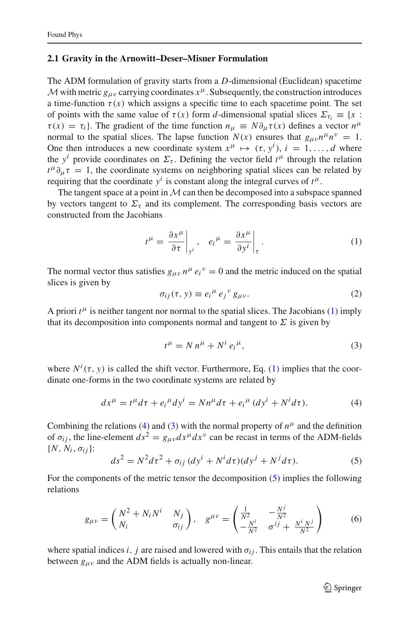#### **2.1 Gravity in the Arnowitt–Deser–Misner Formulation**

The ADM formulation of gravity starts from a *D*-dimensional (Euclidean) spacetime *M* with metric  $g_{\mu\nu}$  carrying coordinates  $x^{\mu}$ . Subsequently, the construction introduces a time-function  $\tau(x)$  which assigns a specific time to each spacetime point. The set of points with the same value of  $\tau(x)$  form *d*-dimensional spatial slices  $\Sigma_{\tau_i} \equiv \{x :$  $\tau(x) = \tau_i$ . The gradient of the time function  $n_\mu \equiv N \partial_\mu \tau(x)$  defines a vector  $n^\mu$ normal to the spatial slices. The lapse function  $N(x)$  ensures that  $g_{\mu\nu}n^{\mu}n^{\nu} = 1$ . One then introduces a new coordinate system  $x^{\mu} \mapsto (\tau, y^{i}), i = 1, ..., d$  where the  $y^i$  provide coordinates on  $\Sigma_{\tau}$ . Defining the vector field  $t^{\mu}$  through the relation  $t^{\mu} \partial_{\mu} \tau = 1$ , the coordinate systems on neighboring spatial slices can be related by requiring that the coordinate  $y^i$  is constant along the integral curves of  $t^{\mu}$ .

The tangent space at a point in  $M$  can then be decomposed into a subspace spanned by vectors tangent to  $\Sigma_{\tau}$  and its complement. The corresponding basis vectors are constructed from the Jacobians

<span id="page-2-0"></span>
$$
t^{\mu} = \left. \frac{\partial x^{\mu}}{\partial \tau} \right|_{y^{i}}, \quad e_{i}^{\mu} = \left. \frac{\partial x^{\mu}}{\partial y^{i}} \right|_{\tau}.
$$
 (1)

The normal vector thus satisfies  $g_{\mu\nu} n^{\mu} e_i^{\nu} = 0$  and the metric induced on the spatial slices is given by

$$
\sigma_{ij}(\tau, y) \equiv e_i^{\mu} e_j^{\nu} g_{\mu\nu}.
$$
 (2)

A priori  $t^{\mu}$  is neither tangent nor normal to the spatial slices. The Jacobians [\(1\)](#page-2-0) imply that its decomposition into components normal and tangent to  $\Sigma$  is given by

<span id="page-2-2"></span>
$$
t^{\mu} = N n^{\mu} + N^{i} e_{i}^{\mu}, \qquad (3)
$$

where  $N^i(\tau, y)$  is called the shift vector. Furthermore, Eq. [\(1\)](#page-2-0) implies that the coordinate one-forms in the two coordinate systems are related by

<span id="page-2-1"></span>
$$
dx^{\mu} = t^{\mu}d\tau + e_i^{\mu}dy^i = Nn^{\mu}d\tau + e_i^{\mu}(dy^i + N^i d\tau). \tag{4}
$$

Combining the relations [\(4\)](#page-2-1) and [\(3\)](#page-2-2) with the normal property of  $n^{\mu}$  and the definition of  $\sigma_{ij}$ , the line-element  $ds^2 = g_{\mu\nu} dx^\mu dx^\nu$  can be recast in terms of the ADM-fields {*N*, *Ni*, σ*i j*}:

<span id="page-2-3"></span>
$$
ds2 = N2 d\tau2 + \sigma_{ij} (dyi + Ni d\tau) (dyj + Nj d\tau).
$$
 (5)

For the components of the metric tensor the decomposition [\(5\)](#page-2-3) implies the following relations

<span id="page-2-4"></span>
$$
g_{\mu\nu} = \begin{pmatrix} N^2 + N_i N^i & N_j \\ N_i & \sigma_{ij} \end{pmatrix}, \quad g^{\mu\nu} = \begin{pmatrix} \frac{1}{N^2} & -\frac{N^j}{N^2} \\ -\frac{N^i}{N^2} & \sigma^{ij} + \frac{N^i N^j}{N^2} \end{pmatrix}
$$
 (6)

where spatial indices *i*, *j* are raised and lowered with  $\sigma_{ij}$ . This entails that the relation between  $g_{\mu\nu}$  and the ADM fields is actually non-linear.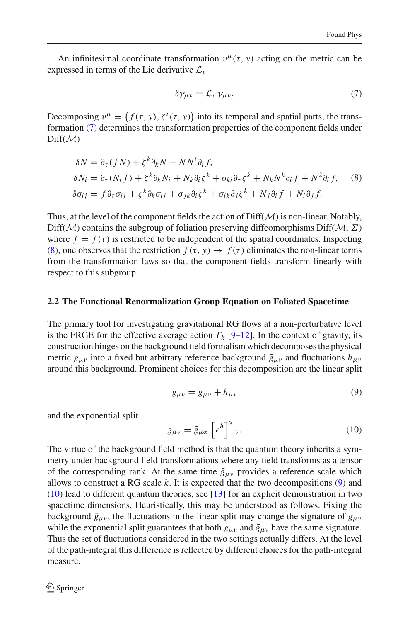An infinitesimal coordinate transformation  $v^{\mu}(\tau, y)$  acting on the metric can be expressed in terms of the Lie derivative  $\mathcal{L}_v$ 

<span id="page-3-0"></span>
$$
\delta \gamma_{\mu\nu} = \mathcal{L}_{\nu} \gamma_{\mu\nu}.
$$
 (7)

Decomposing  $v^{\mu} = (f(\tau, y), \zeta^{i}(\tau, y))$  into its temporal and spatial parts, the transformation [\(7\)](#page-3-0) determines the transformation properties of the component fields under Diff(*M*)

<span id="page-3-1"></span>
$$
\delta N = \partial_{\tau}(fN) + \zeta^{k} \partial_{k} N - NN^{i} \partial_{i} f,
$$
  
\n
$$
\delta N_{i} = \partial_{\tau}(N_{i}f) + \zeta^{k} \partial_{k} N_{i} + N_{k} \partial_{i} \zeta^{k} + \sigma_{ki} \partial_{\tau} \zeta^{k} + N_{k} N^{k} \partial_{i} f + N^{2} \partial_{i} f,
$$
  
\n
$$
\delta \sigma_{ij} = f \partial_{\tau} \sigma_{ij} + \zeta^{k} \partial_{k} \sigma_{ij} + \sigma_{jk} \partial_{i} \zeta^{k} + \sigma_{ik} \partial_{j} \zeta^{k} + N_{j} \partial_{i} f + N_{i} \partial_{j} f.
$$
\n(8)

Thus, at the level of the component fields the action of Diff(*M*) is non-linear. Notably,  $Diff(\mathcal{M})$  contains the subgroup of foliation preserving diffeomorphisms Diff( $\mathcal{M}, \Sigma$ ) where  $f = f(\tau)$  is restricted to be independent of the spatial coordinates. Inspecting [\(8\)](#page-3-1), one observes that the restriction  $f(\tau, y) \to f(\tau)$  eliminates the non-linear terms from the transformation laws so that the component fields transform linearly with respect to this subgroup.

#### **2.2 The Functional Renormalization Group Equation on Foliated Spacetime**

The primary tool for investigating gravitational RG flows at a non-perturbative level is the FRGE for the effective average action  $\Gamma_k$  [\[9](#page-12-6)[–12\]](#page-12-7). In the context of gravity, its construction hinges on the background field formalism which decomposes the physical metric  $g_{\mu\nu}$  into a fixed but arbitrary reference background  $\bar{g}_{\mu\nu}$  and fluctuations  $h_{\mu\nu}$ around this background. Prominent choices for this decomposition are the linear split

<span id="page-3-2"></span>
$$
g_{\mu\nu} = \bar{g}_{\mu\nu} + h_{\mu\nu} \tag{9}
$$

and the exponential split

<span id="page-3-3"></span>
$$
g_{\mu\nu} = \bar{g}_{\mu\alpha} \left[ e^h \right]^\alpha_{\nu} . \tag{10}
$$

The virtue of the background field method is that the quantum theory inherits a symmetry under background field transformations where any field transforms as a tensor of the corresponding rank. At the same time  $\bar{g}_{\mu\nu}$  provides a reference scale which allows to construct a RG scale *k*. It is expected that the two decompositions [\(9\)](#page-3-2) and [\(10\)](#page-3-3) lead to different quantum theories, see [\[13\]](#page-12-8) for an explicit demonstration in two spacetime dimensions. Heuristically, this may be understood as follows. Fixing the background  $\bar{g}_{\mu\nu}$ , the fluctuations in the linear split may change the signature of  $g_{\mu\nu}$ while the exponential split guarantees that both  $g_{\mu\nu}$  and  $\bar{g}_{\mu\nu}$  have the same signature. Thus the set of fluctuations considered in the two settings actually differs. At the level of the path-integral this difference is reflected by different choices for the path-integral measure.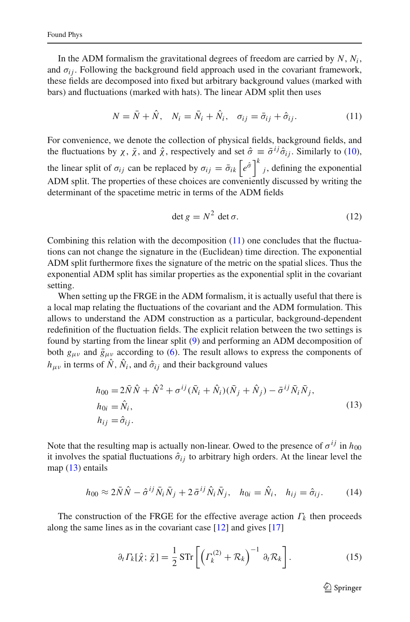In the ADM formalism the gravitational degrees of freedom are carried by  $N$ ,  $N_i$ , and  $\sigma_{ij}$ . Following the background field approach used in the covariant framework, these fields are decomposed into fixed but arbitrary background values (marked with bars) and fluctuations (marked with hats). The linear ADM split then uses

<span id="page-4-0"></span>
$$
N = \overline{N} + \hat{N}, \quad N_i = \overline{N}_i + \hat{N}_i, \quad \sigma_{ij} = \overline{\sigma}_{ij} + \hat{\sigma}_{ij}.
$$
 (11)

For convenience, we denote the collection of physical fields, background fields, and the fluctuations by  $\chi$ ,  $\bar{\chi}$ , and  $\hat{\chi}$ , respectively and set  $\hat{\sigma} \equiv \bar{\sigma}^{ij} \hat{\sigma}_{ij}$ . Similarly to [\(10\)](#page-3-3), the linear split of  $\sigma_{ij}$  can be replaced by  $\sigma_{ij} = \bar{\sigma}_{ik} \left[ e^{\hat{\sigma}} \right]^k j$ , defining the exponential ADM split. The properties of these choices are conveniently discussed by writing the determinant of the spacetime metric in terms of the ADM fields

$$
\det g = N^2 \det \sigma. \tag{12}
$$

Combining this relation with the decomposition [\(11\)](#page-4-0) one concludes that the fluctuations can not change the signature in the (Euclidean) time direction. The exponential ADM split furthermore fixes the signature of the metric on the spatial slices. Thus the exponential ADM split has similar properties as the exponential split in the covariant setting.

When setting up the FRGE in the ADM formalism, it is actually useful that there is a local map relating the fluctuations of the covariant and the ADM formulation. This allows to understand the ADM construction as a particular, background-dependent redefinition of the fluctuation fields. The explicit relation between the two settings is found by starting from the linear split [\(9\)](#page-3-2) and performing an ADM decomposition of both  $g_{\mu\nu}$  and  $\bar{g}_{\mu\nu}$  according to [\(6\)](#page-2-4). The result allows to express the components of  $h_{\mu\nu}$  in terms of  $\hat{N}$ ,  $\hat{N}_i$ , and  $\hat{\sigma}_{ij}$  and their background values

<span id="page-4-1"></span>
$$
h_{00} = 2\overline{N}\hat{N} + \hat{N}^2 + \sigma^{ij}(\overline{N}_i + \hat{N}_i)(\overline{N}_j + \hat{N}_j) - \overline{\sigma}^{ij}\overline{N}_i\overline{N}_j,
$$
  
\n
$$
h_{0i} = \hat{N}_i,
$$
  
\n
$$
h_{ij} = \hat{\sigma}_{ij}.
$$
\n(13)

Note that the resulting map is actually non-linear. Owed to the presence of  $\sigma^{ij}$  in  $h_{00}$ it involves the spatial fluctuations  $\hat{\sigma}_{ij}$  to arbitrary high orders. At the linear level the map  $(13)$  entails

$$
h_{00} \approx 2\bar{N}\hat{N} - \hat{\sigma}^{ij}\bar{N}_i\bar{N}_j + 2\bar{\sigma}^{ij}\hat{N}_i\bar{N}_j, \quad h_{0i} = \hat{N}_i, \quad h_{ij} = \hat{\sigma}_{ij}.
$$
 (14)

The construction of the FRGE for the effective average action  $\Gamma_k$  then proceeds along the same lines as in the covariant case [\[12](#page-12-7)] and gives [\[17](#page-12-9)]

<span id="page-4-2"></span>
$$
\partial_t \varGamma_k[\hat{\chi}; \bar{\chi}] = \frac{1}{2} \operatorname{STr} \left[ \left( \varGamma_k^{(2)} + \mathcal{R}_k \right)^{-1} \partial_t \mathcal{R}_k \right]. \tag{15}
$$

 $\mathcal{L}$  Springer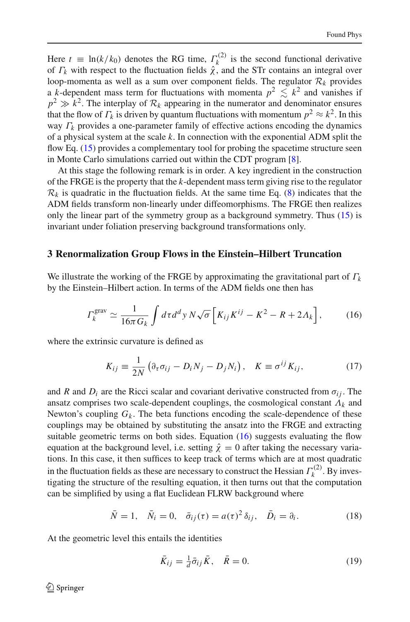Here  $t \equiv \ln(k/k_0)$  denotes the RG time,  $\Gamma_k^{(2)}$  is the second functional derivative of  $\Gamma_k$  with respect to the fluctuation fields  $\hat{\chi}$ , and the STr contains an integral over loop-momenta as well as a sum over component fields. The regulator  $\mathcal{R}_k$  provides a *k*-dependent mass term for fluctuations with momenta  $p^2 \leq k^2$  and vanishes if  $p^2 \gg k^2$ . The interplay of  $\mathcal{R}_k$  appearing in the numerator and denominator ensures that the flow of  $\Gamma_k$  is driven by quantum fluctuations with momentum  $p^2 \approx k^2$ . In this way  $\Gamma_k$  provides a one-parameter family of effective actions encoding the dynamics of a physical system at the scale *k*. In connection with the exponential ADM split the flow Eq. [\(15\)](#page-4-2) provides a complementary tool for probing the spacetime structure seen in Monte Carlo simulations carried out within the CDT program [\[8\]](#page-12-5).

At this stage the following remark is in order. A key ingredient in the construction of the FRGE is the property that the *k*-dependent mass term giving rise to the regulator  $\mathcal{R}_k$  is quadratic in the fluctuation fields. At the same time Eq. [\(8\)](#page-3-1) indicates that the ADM fields transform non-linearly under diffeomorphisms. The FRGE then realizes only the linear part of the symmetry group as a background symmetry. Thus [\(15\)](#page-4-2) is invariant under foliation preserving background transformations only.

#### <span id="page-5-0"></span>**3 Renormalization Group Flows in the Einstein–Hilbert Truncation**

We illustrate the working of the FRGE by approximating the gravitational part of Γ*k* by the Einstein–Hilbert action. In terms of the ADM fields one then has

<span id="page-5-1"></span>
$$
\Gamma_k^{\text{grav}} \simeq \frac{1}{16\pi G_k} \int d\tau d^d y \, N \sqrt{\sigma} \left[ K_{ij} K^{ij} - K^2 - R + 2\Lambda_k \right],\tag{16}
$$

where the extrinsic curvature is defined as

$$
K_{ij} \equiv \frac{1}{2N} \left( \partial_{\tau} \sigma_{ij} - D_i N_j - D_j N_i \right), \quad K \equiv \sigma^{ij} K_{ij}, \tag{17}
$$

and *R* and  $D_i$  are the Ricci scalar and covariant derivative constructed from  $\sigma_{ij}$ . The ansatz comprises two scale-dependent couplings, the cosmological constant  $\Lambda_k$  and Newton's coupling  $G_k$ . The beta functions encoding the scale-dependence of these couplings may be obtained by substituting the ansatz into the FRGE and extracting suitable geometric terms on both sides. Equation  $(16)$  suggests evaluating the flow equation at the background level, i.e. setting  $\hat{\chi} = 0$  after taking the necessary variations. In this case, it then suffices to keep track of terms which are at most quadratic in the fluctuation fields as these are necessary to construct the Hessian  $\Gamma_k^{(2)}$ . By investigating the structure of the resulting equation, it then turns out that the computation can be simplified by using a flat Euclidean FLRW background where

<span id="page-5-2"></span>
$$
\bar{N} = 1, \quad \bar{N}_i = 0, \quad \bar{\sigma}_{ij}(\tau) = a(\tau)^2 \,\delta_{ij}, \quad \bar{D}_i = \partial_i. \tag{18}
$$

At the geometric level this entails the identities

$$
\bar{K}_{ij} = \frac{1}{d}\bar{\sigma}_{ij}\bar{K}, \quad \bar{R} = 0.
$$
\n(19)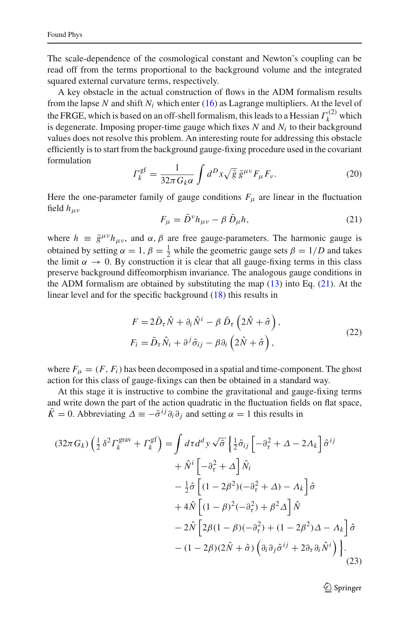The scale-dependence of the cosmological constant and Newton's coupling can be read off from the terms proportional to the background volume and the integrated squared external curvature terms, respectively.

A key obstacle in the actual construction of flows in the ADM formalism results from the lapse N and shift  $N_i$  which enter [\(16\)](#page-5-1) as Lagrange multipliers. At the level of the FRGE, which is based on an off-shell formalism, this leads to a Hessian  $\Gamma_k^{(2)}$  which is degenerate. Imposing proper-time gauge which fixes  $N$  and  $N_i$  to their background values does not resolve this problem. An interesting route for addressing this obstacle efficiently is to start from the background gauge-fixing procedure used in the covariant formulation

$$
\Gamma_k^{\text{gf}} = \frac{1}{32\pi G_k \alpha} \int d^D x \sqrt{\bar{g}} \,\bar{g}^{\mu\nu} F_\mu F_\nu. \tag{20}
$$

Here the one-parameter family of gauge conditions  $F_{\mu}$  are linear in the fluctuation field *h*μν

<span id="page-6-0"></span>
$$
F_{\mu} = \bar{D}^{\nu} h_{\mu\nu} - \beta \,\bar{D}_{\mu} h,\tag{21}
$$

where  $h = \bar{g}^{\mu\nu}h_{\mu\nu}$ , and  $\alpha, \beta$  are free gauge-parameters. The harmonic gauge is obtained by setting  $\alpha = 1$ ,  $\beta = \frac{1}{2}$  while the geometric gauge sets  $\beta = 1/D$  and takes the limit  $\alpha \to 0$ . By construction it is clear that all gauge-fixing terms in this class preserve background diffeomorphism invariance. The analogous gauge conditions in the ADM formalism are obtained by substituting the map [\(13\)](#page-4-1) into Eq. [\(21\)](#page-6-0). At the linear level and for the specific background [\(18\)](#page-5-2) this results in

$$
F = 2\bar{D}_{\tau}\hat{N} + \partial_{i}\hat{N}^{i} - \beta \bar{D}_{\tau}\left(2\hat{N} + \hat{\sigma}\right),
$$
  
\n
$$
F_{i} = \bar{D}_{\tau}\hat{N}_{i} + \partial^{j}\hat{\sigma}_{ij} - \beta \partial_{i}\left(2\hat{N} + \hat{\sigma}\right),
$$
\n(22)

where  $F_{\mu} = (F, F_i)$  has been decomposed in a spatial and time-component. The ghost action for this class of gauge-fixings can then be obtained in a standard way.

At this stage it is instructive to combine the gravitational and gauge-fixing terms and write down the part of the action quadratic in the fluctuation fields on flat space,  $\bar{K} = 0$ . Abbreviating  $\Delta \equiv -\bar{\sigma}^{ij} \partial_i \partial_j$  and setting  $\alpha = 1$  this results in

<span id="page-6-1"></span>
$$
(32\pi G_k) \left(\frac{1}{2} \delta^2 \Gamma_k^{\text{grav}} + \Gamma_k^{\text{gf}}\right) = \int d\tau d^d y \sqrt{\bar{\sigma}} \left\{\frac{1}{2} \hat{\sigma}_{ij} \left[ -\partial_\tau^2 + \Delta - 2\Lambda_k \right] \hat{\sigma}^{ij} \right. \\
\left. + \hat{N}^i \left[ -\partial_\tau^2 + \Delta \right] \hat{N}_i \\
\left. - \frac{1}{2} \hat{\sigma} \left[ (1 - 2\beta^2)(-\partial_\tau^2 + \Delta) - \Lambda_k \right] \hat{\sigma} \right. \\
\left. + 4\hat{N} \left[ (1 - \beta)^2(-\partial_\tau^2) + \beta^2 \Delta \right] \hat{N} \right. \\
\left. - 2\hat{N} \left[ 2\beta(1 - \beta)(-\partial_\tau^2) + (1 - 2\beta^2)\Delta - \Lambda_k \right] \hat{\sigma} \right. \\
\left. - (1 - 2\beta)(2\hat{N} + \hat{\sigma}) \left( \partial_i \partial_j \hat{\sigma}^{ij} + 2\partial_\tau \partial_i \hat{N}^i \right) \right\}.
$$
\n(23)

 $\mathcal{L}$  Springer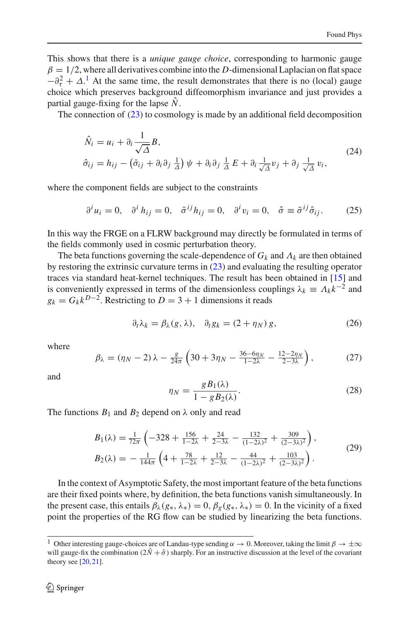This shows that there is a *unique gauge choice*, corresponding to harmonic gauge  $\beta = 1/2$ , where all derivatives combine into the *D*-dimensional Laplacian on flat space  $-\partial_{\tau}^{2} + \Delta^{1}$  $-\partial_{\tau}^{2} + \Delta^{1}$  $-\partial_{\tau}^{2} + \Delta^{1}$  At the same time, the result demonstrates that there is no (local) gauge choice which preserves background diffeomorphism invariance and just provides a partial gauge-fixing for the lapse  $\hat{N}$ .

The connection of  $(23)$  to cosmology is made by an additional field decomposition

<span id="page-7-2"></span>
$$
\hat{N}_i = u_i + \partial_i \frac{1}{\sqrt{\Delta}} B, \n\hat{\sigma}_{ij} = h_{ij} - (\bar{\sigma}_{ij} + \partial_i \partial_j \frac{1}{\Delta}) \psi + \partial_i \partial_j \frac{1}{\Delta} E + \partial_i \frac{1}{\sqrt{\Delta}} v_j + \partial_j \frac{1}{\sqrt{\Delta}} v_i,
$$
\n(24)

where the component fields are subject to the constraints

$$
\partial^i u_i = 0, \quad \partial^i h_{ij} = 0, \quad \bar{\sigma}^{ij} h_{ij} = 0, \quad \partial^i v_i = 0, \quad \hat{\sigma} \equiv \bar{\sigma}^{ij} \hat{\sigma}_{ij}.
$$
 (25)

In this way the FRGE on a FLRW background may directly be formulated in terms of the fields commonly used in cosmic perturbation theory.

The beta functions governing the scale-dependence of  $G_k$  and  $\Lambda_k$  are then obtained by restoring the extrinsic curvature terms in  $(23)$  and evaluating the resulting operator traces via standard heat-kernel techniques. The result has been obtained in [\[15](#page-12-10)] and is conveniently expressed in terms of the dimensionless couplings  $\lambda_k \equiv \Lambda_k k^{-2}$  and  $g_k = G_k k^{D-2}$ . Restricting to  $D = 3 + 1$  dimensions it reads

<span id="page-7-1"></span>
$$
\partial_t \lambda_k = \beta_\lambda(g, \lambda), \quad \partial_t g_k = (2 + \eta_N) g,\tag{26}
$$

where

$$
\beta_{\lambda} = (\eta_N - 2) \lambda - \frac{g}{24\pi} \left( 30 + 3\eta_N - \frac{36 - 6\eta_N}{1 - 2\lambda} - \frac{12 - 2\eta_N}{2 - 3\lambda} \right),\tag{27}
$$

and

$$
\eta_N = \frac{g B_1(\lambda)}{1 - g B_2(\lambda)}.\tag{28}
$$

The functions  $B_1$  and  $B_2$  depend on  $\lambda$  only and read

$$
B_1(\lambda) = \frac{1}{72\pi} \left( -328 + \frac{156}{1 - 2\lambda} + \frac{24}{2 - 3\lambda} - \frac{132}{(1 - 2\lambda)^2} + \frac{309}{(2 - 3\lambda)^2} \right),
$$
  
\n
$$
B_2(\lambda) = -\frac{1}{144\pi} \left( 4 + \frac{78}{1 - 2\lambda} + \frac{12}{2 - 3\lambda} - \frac{44}{(1 - 2\lambda)^2} + \frac{103}{(2 - 3\lambda)^2} \right).
$$
\n(29)

In the context of Asymptotic Safety, the most important feature of the beta functions are their fixed points where, by definition, the beta functions vanish simultaneously. In the present case, this entails  $\beta_{\lambda}(g_*, \lambda_*) = 0$ ,  $\beta_{\varrho}(g_*, \lambda_*) = 0$ . In the vicinity of a fixed point the properties of the RG flow can be studied by linearizing the beta functions.

<span id="page-7-0"></span><sup>&</sup>lt;sup>1</sup> Other interesting gauge-choices are of Landau-type sending  $\alpha \to 0$ . Moreover, taking the limit  $\beta \to \pm \infty$ will gauge-fix the combination  $(2\hat{N}+\hat{\sigma})$  sharply. For an instructive discussion at the level of the covariant theory see  $[20, 21]$  $[20, 21]$  $[20, 21]$  $[20, 21]$ .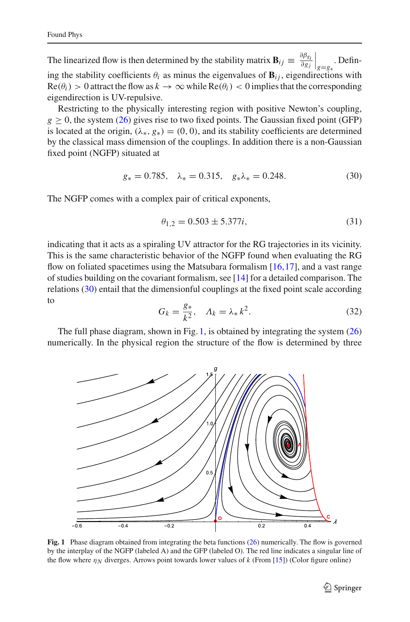The linearized flow is then determined by the stability matrix  $\mathbf{B}_{ij} \equiv \frac{\partial \beta_{g_i}}{\partial g_j} \Big|_{g=g_*}$ . Defining the stability coefficients  $\theta_i$  as minus the eigenvalues of  $\mathbf{B}_{ij}$ , eigendirections with  $\text{Re}(\theta_i) > 0$  attract the flow as  $k \to \infty$  while  $\text{Re}(\theta_i) < 0$  implies that the corresponding eigendirection is UV-repulsive.

Restricting to the physically interesting region with positive Newton's coupling,  $g > 0$ , the system [\(26\)](#page-7-1) gives rise to two fixed points. The Gaussian fixed point (GFP) is located at the origin,  $(\lambda_*, g_*) = (0, 0)$ , and its stability coefficients are determined by the classical mass dimension of the couplings. In addition there is a non-Gaussian fixed point (NGFP) situated at

<span id="page-8-0"></span>
$$
g_* = 0.785, \quad \lambda_* = 0.315, \quad g_* \lambda_* = 0.248. \tag{30}
$$

The NGFP comes with a complex pair of critical exponents,

<span id="page-8-2"></span>
$$
\theta_{1,2} = 0.503 \pm 5.377i,\tag{31}
$$

indicating that it acts as a spiraling UV attractor for the RG trajectories in its vicinity. This is the same characteristic behavior of the NGFP found when evaluating the RG flow on foliated spacetimes using the Matsubara formalism [\[16](#page-12-13),[17\]](#page-12-9), and a vast range of studies building on the covariant formalism, see [\[14](#page-12-14)] for a detailed comparison. The relations [\(30\)](#page-8-0) entail that the dimensionful couplings at the fixed point scale according to

<span id="page-8-3"></span>
$$
G_k = \frac{g_*}{k^2}, \quad \Lambda_k = \lambda_* k^2. \tag{32}
$$

The full phase diagram, shown in Fig. [1,](#page-8-1) is obtained by integrating the system  $(26)$ numerically. In the physical region the structure of the flow is determined by three



<span id="page-8-1"></span>**Fig. 1** Phase diagram obtained from integrating the beta functions [\(26\)](#page-7-1) numerically. The flow is governed by the interplay of the NGFP (labeled A) and the GFP (labeled O). The red line indicates a singular line of the flow where  $\eta_N$  diverges. Arrows point towards lower values of *k* (From [\[15](#page-12-10)]) (Color figure online)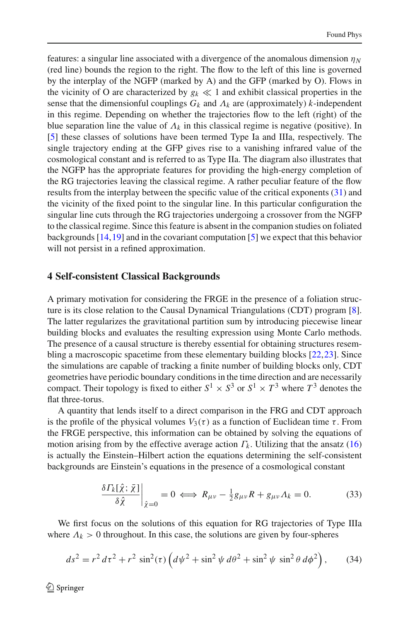features: a singular line associated with a divergence of the anomalous dimension  $\eta_N$ (red line) bounds the region to the right. The flow to the left of this line is governed by the interplay of the NGFP (marked by A) and the GFP (marked by O). Flows in the vicinity of O are characterized by  $g_k \ll 1$  and exhibit classical properties in the sense that the dimensionful couplings  $G_k$  and  $\Lambda_k$  are (approximately) *k*-independent in this regime. Depending on whether the trajectories flow to the left (right) of the blue separation line the value of  $\Lambda_k$  in this classical regime is negative (positive). In [\[5](#page-12-2)] these classes of solutions have been termed Type Ia and IIIa, respectively. The single trajectory ending at the GFP gives rise to a vanishing infrared value of the cosmological constant and is referred to as Type IIa. The diagram also illustrates that the NGFP has the appropriate features for providing the high-energy completion of the RG trajectories leaving the classical regime. A rather peculiar feature of the flow results from the interplay between the specific value of the critical exponents [\(31\)](#page-8-2) and the vicinity of the fixed point to the singular line. In this particular configuration the singular line cuts through the RG trajectories undergoing a crossover from the NGFP to the classical regime. Since this feature is absent in the companion studies on foliated backgrounds [\[14](#page-12-14)[,19](#page-12-15)] and in the covariant computation [\[5\]](#page-12-2) we expect that this behavior will not persist in a refined approximation.

#### <span id="page-9-0"></span>**4 Self-consistent Classical Backgrounds**

A primary motivation for considering the FRGE in the presence of a foliation structure is its close relation to the Causal Dynamical Triangulations (CDT) program [\[8](#page-12-5)]. The latter regularizes the gravitational partition sum by introducing piecewise linear building blocks and evaluates the resulting expression using Monte Carlo methods. The presence of a causal structure is thereby essential for obtaining structures resembling a macroscopic spacetime from these elementary building blocks [\[22](#page-12-16),[23\]](#page-12-17). Since the simulations are capable of tracking a finite number of building blocks only, CDT geometries have periodic boundary conditions in the time direction and are necessarily compact. Their topology is fixed to either  $S^1 \times S^3$  or  $S^1 \times T^3$  where  $T^3$  denotes the flat three-torus.

A quantity that lends itself to a direct comparison in the FRG and CDT approach is the profile of the physical volumes  $V_3(\tau)$  as a function of Euclidean time  $\tau$ . From the FRGE perspective, this information can be obtained by solving the equations of motion arising from by the effective average action  $\Gamma_k$ . Utilizing that the ansatz [\(16\)](#page-5-1) is actually the Einstein–Hilbert action the equations determining the self-consistent backgrounds are Einstein's equations in the presence of a cosmological constant

<span id="page-9-2"></span>
$$
\frac{\delta \Gamma_k[\hat{\chi}; \bar{\chi}]}{\delta \hat{\chi}}\Big|_{\hat{\chi}=0} = 0 \iff R_{\mu\nu} - \frac{1}{2}g_{\mu\nu}R + g_{\mu\nu}\Lambda_k = 0. \tag{33}
$$

We first focus on the solutions of this equation for RG trajectories of Type IIIa where  $\Lambda_k > 0$  throughout. In this case, the solutions are given by four-spheres

<span id="page-9-1"></span>
$$
ds^{2} = r^{2} d\tau^{2} + r^{2} \sin^{2}(\tau) \left( d\psi^{2} + \sin^{2} \psi d\theta^{2} + \sin^{2} \psi \sin^{2} \theta d\phi^{2} \right),
$$
 (34)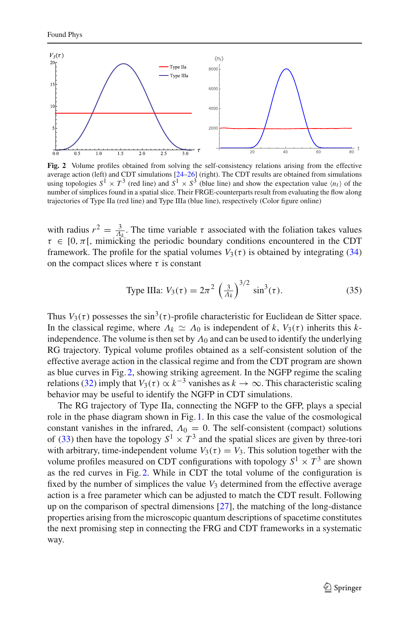

<span id="page-10-0"></span>**Fig. 2** Volume profiles obtained from solving the self-consistency relations arising from the effective average action (left) and CDT simulations [\[24](#page-12-18)[–26](#page-13-0)] (right). The CDT results are obtained from simulations using topologies  $S^1 \times T^3$  (red line) and  $S^1 \times S^3$  (blue line) and show the expectation value  $\langle n_t \rangle$  of the number of simplices found in a spatial slice. Their FRGE-counterparts result from evaluating the flow along trajectories of Type IIa (red line) and Type IIIa (blue line), respectively (Color figure online)

with radius  $r^2 = \frac{3}{4k}$ . The time variable  $\tau$  associated with the foliation takes values  $\tau \in [0, \pi]$ , mimicking the periodic boundary conditions encountered in the CDT framework. The profile for the spatial volumes  $V_3(\tau)$  is obtained by integrating [\(34\)](#page-9-1) on the compact slices where  $\tau$  is constant

Type IIIa: 
$$
V_3(\tau) = 2\pi^2 \left(\frac{3}{\Lambda_k}\right)^{3/2} \sin^3(\tau).
$$
 (35)

Thus  $V_3(\tau)$  possesses the sin<sup>3</sup>( $\tau$ )-profile characteristic for Euclidean de Sitter space. In the classical regime, where  $\Lambda_k \simeq \Lambda_0$  is independent of *k*,  $V_3(\tau)$  inherits this *k*independence. The volume is then set by  $\Lambda_0$  and can be used to identify the underlying RG trajectory. Typical volume profiles obtained as a self-consistent solution of the effective average action in the classical regime and from the CDT program are shown as blue curves in Fig. [2,](#page-10-0) showing striking agreement. In the NGFP regime the scaling relations [\(32\)](#page-8-3) imply that  $V_3(\tau) \propto k^{-3}$  vanishes as  $k \to \infty$ . This characteristic scaling behavior may be useful to identify the NGFP in CDT simulations.

The RG trajectory of Type IIa, connecting the NGFP to the GFP, plays a special role in the phase diagram shown in Fig. [1.](#page-8-1) In this case the value of the cosmological constant vanishes in the infrared,  $\Lambda_0 = 0$ . The self-consistent (compact) solutions of [\(33\)](#page-9-2) then have the topology  $S^1 \times T^3$  and the spatial slices are given by three-tori with arbitrary, time-independent volume  $V_3(\tau) = V_3$ . This solution together with the volume profiles measured on CDT configurations with topology  $S^1 \times T^3$  are shown as the red curves in Fig. [2.](#page-10-0) While in CDT the total volume of the configuration is fixed by the number of simplices the value  $V_3$  determined from the effective average action is a free parameter which can be adjusted to match the CDT result. Following up on the comparison of spectral dimensions [\[27\]](#page-13-1), the matching of the long-distance properties arising from the microscopic quantum descriptions of spacetime constitutes the next promising step in connecting the FRG and CDT frameworks in a systematic way.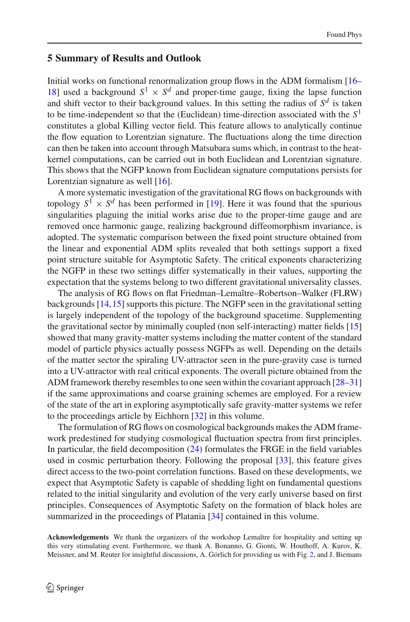## <span id="page-11-0"></span>**5 Summary of Results and Outlook**

Initial works on functional renormalization group flows in the ADM formalism [\[16](#page-12-13)– [18\]](#page-12-19) used a background  $S^1 \times S^d$  and proper-time gauge, fixing the lapse function and shift vector to their background values. In this setting the radius of  $S^d$  is taken to be time-independent so that the (Euclidean) time-direction associated with the *S*<sup>1</sup> constitutes a global Killing vector field. This feature allows to analytically continue the flow equation to Lorentzian signature. The fluctuations along the time direction can then be taken into account through Matsubara sums which, in contrast to the heatkernel computations, can be carried out in both Euclidean and Lorentzian signature. This shows that the NGFP known from Euclidean signature computations persists for Lorentzian signature as well [\[16](#page-12-13)].

A more systematic investigation of the gravitational RG flows on backgrounds with topology  $S^1 \times S^d$  has been performed in [\[19\]](#page-12-15). Here it was found that the spurious singularities plaguing the initial works arise due to the proper-time gauge and are removed once harmonic gauge, realizing background diffeomorphism invariance, is adopted. The systematic comparison between the fixed point structure obtained from the linear and exponential ADM splits revealed that both settings support a fixed point structure suitable for Asymptotic Safety. The critical exponents characterizing the NGFP in these two settings differ systematically in their values, supporting the expectation that the systems belong to two different gravitational universality classes.

The analysis of RG flows on flat Friedman–Lemaître–Robertson–Walker (FLRW) backgrounds [\[14](#page-12-14)[,15](#page-12-10)] supports this picture. The NGFP seen in the gravitational setting is largely independent of the topology of the background spacetime. Supplementing the gravitational sector by minimally coupled (non self-interacting) matter fields [\[15\]](#page-12-10) showed that many gravity-matter systems including the matter content of the standard model of particle physics actually possess NGFPs as well. Depending on the details of the matter sector the spiraling UV-attractor seen in the pure-gravity case is turned into a UV-attractor with real critical exponents. The overall picture obtained from the ADM framework thereby resembles to one seen within the covariant approach [\[28](#page-13-2)[–31\]](#page-13-3) if the same approximations and coarse graining schemes are employed. For a review of the state of the art in exploring asymptotically safe gravity-matter systems we refer to the proceedings article by Eichhorn [\[32](#page-13-4)] in this volume.

The formulation of RG flows on cosmological backgrounds makes the ADM framework predestined for studying cosmological fluctuation spectra from first principles. In particular, the field decomposition  $(24)$  formulates the FRGE in the field variables used in cosmic perturbation theory. Following the proposal [\[33](#page-13-5)], this feature gives direct access to the two-point correlation functions. Based on these developments, we expect that Asymptotic Safety is capable of shedding light on fundamental questions related to the initial singularity and evolution of the very early universe based on first principles. Consequences of Asymptotic Safety on the formation of black holes are summarized in the proceedings of Platania [\[34](#page-13-6)] contained in this volume.

**Acknowledgements** We thank the organizers of the workshop Lemaître for hospitality and setting up this very stimulating event. Furthermore, we thank A. Bonanno, G. Gionti, W. Houthoff, A. Kurov, K. Meissner, and M. Reuter for insightful discussions, A. Görlich for providing us with Fig. [2,](#page-10-0) and J. Biemans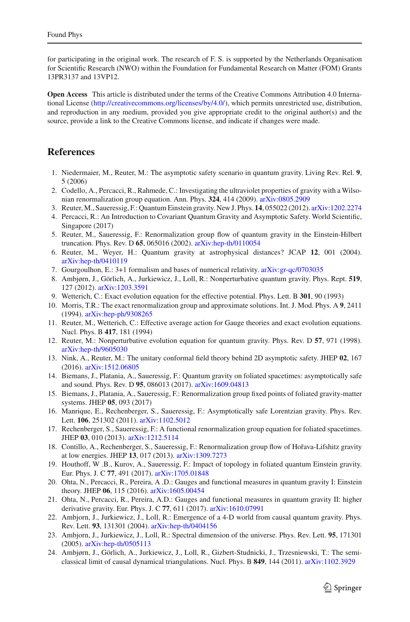for participating in the original work. The research of F. S. is supported by the Netherlands Organisation for Scientific Research (NWO) within the Foundation for Fundamental Research on Matter (FOM) Grants 13PR3137 and 13VP12.

**Open Access** This article is distributed under the terms of the Creative Commons Attribution 4.0 International License [\(http://creativecommons.org/licenses/by/4.0/\)](http://creativecommons.org/licenses/by/4.0/), which permits unrestricted use, distribution, and reproduction in any medium, provided you give appropriate credit to the original author(s) and the source, provide a link to the Creative Commons license, and indicate if changes were made.

# **References**

- <span id="page-12-0"></span>1. Niedermaier, M., Reuter, M.: The asymptotic safety scenario in quantum gravity. Living Rev. Rel. **9**, 5 (2006)
- 2. Codello, A., Percacci, R., Rahmede, C.: Investigating the ultraviolet properties of gravity with a Wilsonian renormalization group equation. Ann. Phys. **324**, 414 (2009). [arXiv:0805.2909](http://arxiv.org/abs/0805.2909)
- 3. Reuter, M., Saueressig, F.: Quantum Einstein gravity. New J. Phys. **14**, 055022 (2012). [arXiv:1202.2274](http://arxiv.org/abs/1202.2274)
- <span id="page-12-1"></span>4. Percacci, R.: An Introduction to Covariant Quantum Gravity and Asymptotic Safety. World Scientific, Singapore (2017)
- <span id="page-12-2"></span>5. Reuter, M., Saueressig, F.: Renormalization group flow of quantum gravity in the Einstein-Hilbert truncation. Phys. Rev. D **65**, 065016 (2002). [arXiv:hep-th/0110054](http://arxiv.org/abs/hep-th/0110054)
- <span id="page-12-3"></span>6. Reuter, M., Weyer, H.: Quantum gravity at astrophysical distances? JCAP **12**, 001 (2004). [arXiv:hep-th/0410119](http://arxiv.org/abs/hep-th/0410119)
- <span id="page-12-4"></span>7. Gourgoulhon, E.: 3+1 formalism and bases of numerical relativity. [arXiv:gr-qc/0703035](http://arxiv.org/abs/gr-qc/0703035)
- <span id="page-12-5"></span>8. Ambjørn, J., Görlich, A., Jurkiewicz, J., Loll, R.: Nonperturbative quantum gravity. Phys. Rept. **519**, 127 (2012). [arXiv:1203.3591](http://arxiv.org/abs/1203.3591)
- <span id="page-12-6"></span>9. Wetterich, C.: Exact evolution equation for the effective potential. Phys. Lett. B **301**, 90 (1993)
- 10. Morris, T.R.: The exact renormalization group and approximate solutions. Int. J. Mod. Phys. A **9**, 2411 (1994). [arXiv:hep-ph/9308265](http://arxiv.org/abs/hep-ph/9308265)
- 11. Reuter, M., Wetterich, C.: Effective average action for Gauge theories and exact evolution equations. Nucl. Phys. B **417**, 181 (1994)
- <span id="page-12-7"></span>12. Reuter, M.: Nonperturbative evolution equation for quantum gravity. Phys. Rev. D **57**, 971 (1998). [arXiv:hep-th/9605030](http://arxiv.org/abs/hep-th/9605030)
- <span id="page-12-8"></span>13. Nink, A., Reuter, M.: The unitary conformal field theory behind 2D asymptotic safety. JHEP **02**, 167 (2016). [arXiv:1512.06805](http://arxiv.org/abs/1512.06805)
- <span id="page-12-14"></span>14. Biemans, J., Platania, A., Saueressig, F.: Quantum gravity on foliated spacetimes: asymptotically safe and sound. Phys. Rev. D **95**, 086013 (2017). [arXiv:1609.04813](http://arxiv.org/abs/1609.04813)
- <span id="page-12-10"></span>15. Biemans, J., Platania, A., Saueressig, F.: Renormalization group fixed points of foliated gravity-matter systems. JHEP **05**, 093 (2017)
- <span id="page-12-13"></span>16. Manrique, E., Rechenberger, S., Saueressig, F.: Asymptotically safe Lorentzian gravity. Phys. Rev. Lett. **106**, 251302 (2011). [arXiv:1102.5012](http://arxiv.org/abs/1102.5012)
- <span id="page-12-9"></span>17. Rechenberger, S., Saueressig, F.: A functional renormalization group equation for foliated spacetimes. JHEP **03**, 010 (2013). [arXiv:1212.5114](http://arxiv.org/abs/1212.5114)
- <span id="page-12-19"></span>18. Contillo, A., Rechenberger, S., Saueressig, F.: Renormalization group flow of Hořava-Lifshitz gravity at low energies. JHEP **13**, 017 (2013). [arXiv:1309.7273](http://arxiv.org/abs/1309.7273)
- <span id="page-12-15"></span>19. Houthoff, W .B., Kurov, A., Saueressig, F.: Impact of topology in foliated quantum Einstein gravity. Eur. Phys. J. C **77**, 491 (2017). [arXiv:1705.01848](http://arxiv.org/abs/1705.01848)
- <span id="page-12-11"></span>20. Ohta, N., Percacci, R., Pereira, A .D.: Gauges and functional measures in quantum gravity I: Einstein theory. JHEP **06**, 115 (2016). [arXiv:1605.00454](http://arxiv.org/abs/1605.00454)
- <span id="page-12-12"></span>21. Ohta, N., Percacci, R., Pereira, A.D.: Gauges and functional measures in quantum gravity II: higher derivative gravity. Eur. Phys. J. C **77**, 611 (2017). [arXiv:1610.07991](http://arxiv.org/abs/1610.07991)
- <span id="page-12-16"></span>22. Ambjorn, J., Jurkiewicz, J., Loll, R.: Emergence of a 4-D world from causal quantum gravity. Phys. Rev. Lett. **93**, 131301 (2004). [arXiv:hep-th/0404156](http://arxiv.org/abs/hep-th/0404156)
- <span id="page-12-17"></span>23. Ambjorn, J., Jurkiewicz, J., Loll, R.: Spectral dimension of the universe. Phys. Rev. Lett. **95**, 171301 (2005). [arXiv:hep-th/0505113](http://arxiv.org/abs/hep-th/0505113)
- <span id="page-12-18"></span>24. Ambjørn, J., Görlich, A., Jurkiewicz, J., Loll, R., Gizbert-Studnicki, J., Trzesniewski, T.: The semiclassical limit of causal dynamical triangulations. Nucl. Phys. B **849**, 144 (2011). [arXiv:1102.3929](http://arxiv.org/abs/1102.3929)